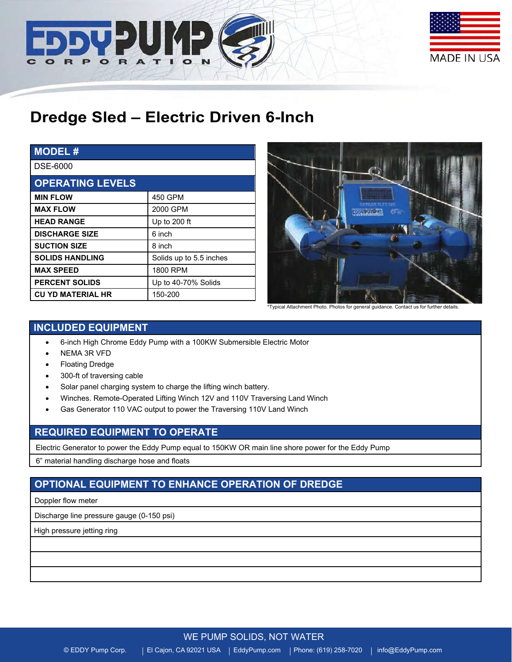



# **Dredge Sled – Electric Driven 6-Inch**

| <b>MODEL#</b>            |                         |  |
|--------------------------|-------------------------|--|
| DSE-6000                 |                         |  |
| <b>OPERATING LEVELS</b>  |                         |  |
| <b>MIN FLOW</b>          | 450 GPM                 |  |
| <b>MAX FLOW</b>          | 2000 GPM                |  |
| <b>HEAD RANGE</b>        | Up to 200 ft            |  |
| <b>DISCHARGE SIZE</b>    | 6 inch                  |  |
| <b>SUCTION SIZE</b>      | 8 inch                  |  |
| <b>SOLIDS HANDLING</b>   | Solids up to 5.5 inches |  |
| <b>MAX SPEED</b>         | 1800 RPM                |  |
| <b>PERCENT SOLIDS</b>    | Up to 40-70% Solids     |  |
| <b>CU YD MATERIAL HR</b> | 150-200                 |  |



\*Typical Attachment Photo. Photos for general guidance. Contact us for further details.

# **INCLUDED EQUIPMENT**

- 6-inch High Chrome Eddy Pump with a 100KW Submersible Electric Motor
- NEMA 3R VFD
- Floating Dredge
- 300-ft of traversing cable
- Solar panel charging system to charge the lifting winch battery.
- Winches. Remote-Operated Lifting Winch 12V and 110V Traversing Land Winch
- Gas Generator 110 VAC output to power the Traversing 110V Land Winch

## **REQUIRED EQUIPMENT TO OPERATE**

Electric Generator to power the Eddy Pump equal to 150KW OR main line shore power for the Eddy Pump

6" material handling discharge hose and floats

# **OPTIONAL EQUIPMENT TO ENHANCE OPERATION OF DREDGE**

#### Doppler flow meter

Discharge line pressure gauge (0-150 psi)

High pressure jetting ring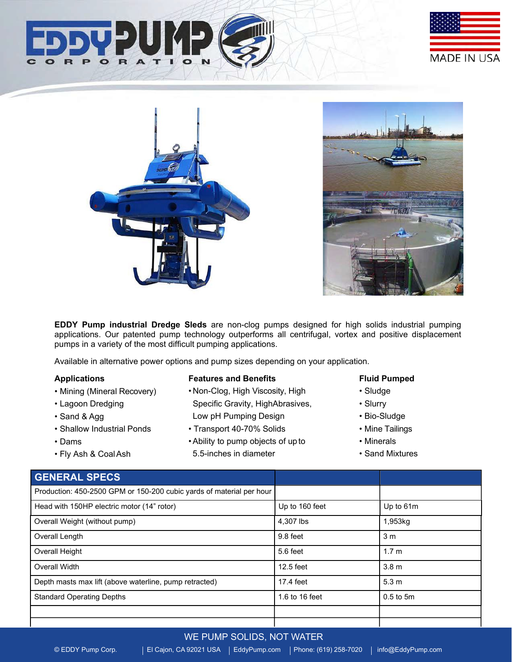





**EDDY Pump industrial Dredge Sleds** are non-clog pumps designed for high solids industrial pumping applications. Our patented pump technology outperforms all centrifugal, vortex and positive displacement pumps in a variety of the most difficult pumping applications.

Available in alternative power options and pump sizes depending on your application.

#### **Applications**

- Mining (Mineral Recovery)
- Lagoon Dredging
- Sand & Agg
- Shallow Industrial Ponds
- Dams
- Fly Ash & CoalAsh

#### **Features and Benefits**

- Non-Clog, High Viscosity, High Specific Gravity, HighAbrasives, Low pH Pumping Design
- Transport 40-70% Solids
- •Ability to pump objects of upto 5.5-inches in diameter

#### **Fluid Pumped**

- Sludge
- Slurry
- Bio-Sludge
- Mine Tailings
- Minerals
- Sand Mixtures

## **GENERAL SPECS**

| Production: 450-2500 GPM or 150-200 cubic yards of material per hour |                |                  |
|----------------------------------------------------------------------|----------------|------------------|
| Head with 150HP electric motor (14" rotor)                           | Up to 160 feet | Up to 61m        |
| Overall Weight (without pump)                                        | 4.307 lbs      | 1,953kg          |
| Overall Length                                                       | 9.8 feet       | 3 <sub>m</sub>   |
| Overall Height                                                       | 5.6 feet       | 1.7 <sub>m</sub> |
| Overall Width                                                        | 12.5 feet      | 3.8 <sub>m</sub> |
| Depth masts max lift (above waterline, pump retracted)               | 17.4 feet      | 5.3 <sub>m</sub> |
| <b>Standard Operating Depths</b>                                     | 1.6 to 16 feet | $0.5$ to $5m$    |
|                                                                      |                |                  |
|                                                                      |                |                  |